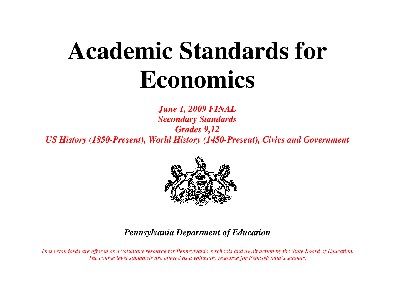# **Academic Standards for Economics**

*June 1, 2009 FINAL Secondary Standards Grades 9,12 US History (1850-Present), World History (1450-Present), Civics and Government* 



## *Pennsylvania Department of Education*

*These standards are offered as a voluntary resource for Pennsylvania's schools and await action by the State Board of Education. The course level standards are offered as a voluntary resource for Pennsylvania's schools.*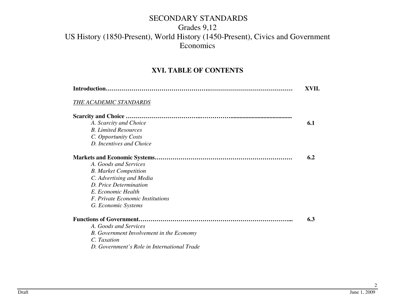#### **XVI. TABLE OF CONTENTS**

| Introduction                                    |     |  |  |
|-------------------------------------------------|-----|--|--|
| THE ACADEMIC STANDARDS                          |     |  |  |
|                                                 |     |  |  |
| A. Scarcity and Choice                          | 6.1 |  |  |
| <b>B.</b> Limited Resources                     |     |  |  |
| C. Opportunity Costs                            |     |  |  |
| D. Incentives and Choice                        |     |  |  |
|                                                 | 6.2 |  |  |
| A. Goods and Services                           |     |  |  |
| <b>B.</b> Market Competition                    |     |  |  |
| C. Advertising and Media                        |     |  |  |
| D. Price Determination                          |     |  |  |
| E. Economic Health                              |     |  |  |
| F. Private Economic Institutions                |     |  |  |
| G. Economic Systems                             |     |  |  |
|                                                 | 6.3 |  |  |
| A. Goods and Services                           |     |  |  |
| <b>B.</b> Government Involvement in the Economy |     |  |  |
| C. Taxation                                     |     |  |  |
| D. Government's Role in International Trade     |     |  |  |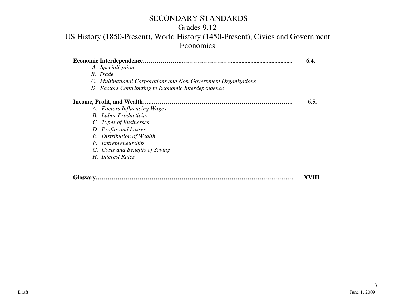## Grades 9,12

#### US History (1850-Present), World History (1450-Present), Civics and Government **Economics**

|                                                                | 6.4.   |
|----------------------------------------------------------------|--------|
| A. Specialization                                              |        |
| <b>B.</b> Trade                                                |        |
| C. Multinational Corporations and Non-Government Organizations |        |
| D. Factors Contributing to Economic Interdependence            |        |
|                                                                | 6.5.   |
| A. Factors Influencing Wages                                   |        |
| <b>B.</b> Labor Productivity                                   |        |
| C. Types of Businesses                                         |        |
| D. Profits and Losses                                          |        |
| E. Distribution of Wealth                                      |        |
| F. Entrepreneurship                                            |        |
| G. Costs and Benefits of Saving                                |        |
| H. Interest Rates                                              |        |
|                                                                |        |
|                                                                | XVIII. |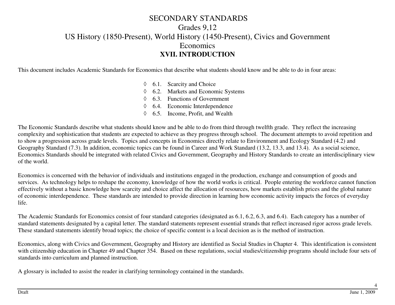This document includes Academic Standards for Economics that describe what students should know and be able to do in four areas:

- ◊ 6.1. Scarcity and Choice
- ◊ 6.2. Markets and Economic Systems
- ◊ 6.3. Functions of Government
- ◊ 6.4. Economic Interdependence
- ◊ 6.5. Income, Profit, and Wealth

The Economic Standards describe what students should know and be able to do from third through twelfth grade. They reflect the increasing complexity and sophistication that students are expected to achieve as they progress through school. The document attempts to avoid repetition and to show a progression across grade levels. Topics and concepts in Economics directly relate to Environment and Ecology Standard (4.2) and Geography Standard (7.3). In addition, economic topics can be found in Career and Work Standard (13.2, 13.3, and 13.4). As a social science, Economics Standards should be integrated with related Civics and Government, Geography and History Standards to create an interdisciplinary view of the world.

Economics is concerned with the behavior of individuals and institutions engaged in the production, exchange and consumption of goods and services. As technology helps to reshape the economy, knowledge of how the world works is critical. People entering the workforce cannot function effectively without a basic knowledge how scarcity and choice affect the allocation of resources, how markets establish prices and the global nature of economic interdependence. These standards are intended to provide direction in learning how economic activity impacts the forces of everyday life.

The Academic Standards for Economics consist of four standard categories (designated as 6.1, 6.2, 6.3, and 6.4). Each category has a number of standard statements designated by a capital letter. The standard statements represent essential strands that reflect increased rigor across grade levels.These standard statements identify broad topics; the choice of specific content is a local decision as is the method of instruction.

Economics, along with Civics and Government, Geography and History are identified as Social Studies in Chapter 4. This identification is consistent with citizenship education in Chapter 49 and Chapter 354. Based on these regulations, social studies/citizenship programs should include four sets of standards into curriculum and planned instruction.

A glossary is included to assist the reader in clarifying terminology contained in the standards.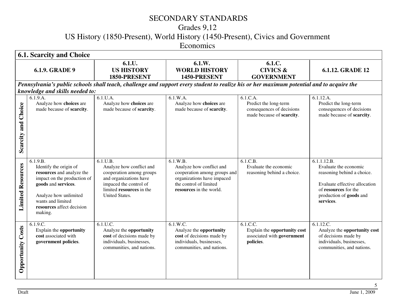## Grades 9,12

US History (1850-Present), World History (1450-Present), Civics and Government

Economics

|                           | <b>6.1. Scarcity and Choice</b>                                                                                                                                                                             |                                                                                                                                                                    |                                                                                                                                                         |                                                                                             |                                                                                                                                                                     |  |
|---------------------------|-------------------------------------------------------------------------------------------------------------------------------------------------------------------------------------------------------------|--------------------------------------------------------------------------------------------------------------------------------------------------------------------|---------------------------------------------------------------------------------------------------------------------------------------------------------|---------------------------------------------------------------------------------------------|---------------------------------------------------------------------------------------------------------------------------------------------------------------------|--|
|                           | <b>6.1.9. GRADE 9</b>                                                                                                                                                                                       | 6.1.U.<br><b>US HISTORY</b><br>1850-PRESENT                                                                                                                        | 6.1.W.<br><b>WORLD HISTORY</b><br>1450-PRESENT                                                                                                          | 6.1.C.<br><b>CIVICS &amp;</b><br><b>GOVERNMENT</b>                                          | 6.1.12. GRADE 12                                                                                                                                                    |  |
|                           |                                                                                                                                                                                                             |                                                                                                                                                                    | Pennsylvania's public schools shall teach, challenge and support every student to realize his or her maximum potential and to acquire the               |                                                                                             |                                                                                                                                                                     |  |
|                           | knowledge and skills needed to:                                                                                                                                                                             |                                                                                                                                                                    |                                                                                                                                                         |                                                                                             |                                                                                                                                                                     |  |
| Choice<br>and<br>Scarcity | 6.1.9.A.<br>Analyze how choices are<br>made because of scarcity.                                                                                                                                            | 6.1.U.A.<br>Analyze how choices are<br>made because of scarcity.                                                                                                   | 6.1.W.A.<br>Analyze how choices are<br>made because of scarcity.                                                                                        | 6.1.C.A.<br>Predict the long-term<br>consequences of decisions<br>made because of scarcity. | $6.1.12.\overline{A}$ .<br>Predict the long-term<br>consequences of decisions<br>made because of scarcity.                                                          |  |
| <b>Limited Resources</b>  | 6.1.9.B.<br>Identify the origin of<br>resources and analyze the<br>impact on the production of<br>goods and services.<br>Analyze how unlimited<br>wants and limited<br>resources affect decision<br>making. | 6.1.U.B.<br>Analyze how conflict and<br>cooperation among groups<br>and organizations have<br>impaced the control of<br>limited resources in the<br>United States. | 6.1.W.B.<br>Analyze how conflict and<br>cooperation among groups and<br>organizations have impaced<br>the control of limited<br>resources in the world. | 6.1.C.B.<br>Evaluate the economic<br>reasoning behind a choice.                             | 6.1.1.12.B.<br>Evaluate the economic<br>reasoning behind a choice.<br>Evaluate effective allocation<br>of resources for the<br>production of goods and<br>services. |  |
| <b>Opportunity Costs</b>  | 6.1.9.C.<br>Explain the opportunity<br>cost associated with<br>government policies.                                                                                                                         | $6.1$ .U.C.<br>Analyze the opportunity<br>cost of decisions made by<br>individuals, businesses,<br>communities, and nations.                                       | 6.1.W.C.<br>Analyze the opportunity<br>cost of decisions made by<br>individuals, businesses,<br>communities, and nations.                               | 6.1.C.C.<br>Explain the opportunity cost<br>associated with government<br>policies.         | 6.1.12.C.<br>Analyze the opportunity cost<br>of decisions made by<br>individuals, businesses,<br>communities, and nations.                                          |  |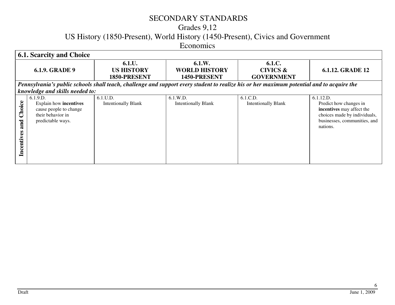#### Grades 9,12

US History (1850-Present), World History (1450-Present), Civics and Government

Economics

|                             | <b>6.1. Scarcity and Choice</b>                                                                        |                                                                                                                                           |                                                |                                                    |                                                                                                                                              |  |  |
|-----------------------------|--------------------------------------------------------------------------------------------------------|-------------------------------------------------------------------------------------------------------------------------------------------|------------------------------------------------|----------------------------------------------------|----------------------------------------------------------------------------------------------------------------------------------------------|--|--|
|                             | <b>6.1.9. GRADE 9</b>                                                                                  | 6.1.U.<br><b>US HISTORY</b><br>1850-PRESENT                                                                                               | 6.1.W.<br><b>WORLD HISTORY</b><br>1450-PRESENT | 6.1.C.<br><b>CIVICS &amp;</b><br><b>GOVERNMENT</b> | <b>6.1.12. GRADE 12</b>                                                                                                                      |  |  |
|                             |                                                                                                        | Pennsylvania's public schools shall teach, challenge and support every student to realize his or her maximum potential and to acquire the |                                                |                                                    |                                                                                                                                              |  |  |
|                             | knowledge and skills needed to:                                                                        |                                                                                                                                           |                                                |                                                    |                                                                                                                                              |  |  |
| Choice<br>and<br>Incentives | 6.1.9.D.<br>Explain how incentives<br>cause people to change<br>their behavior in<br>predictable ways. | 6.1.U.D.<br><b>Intentionally Blank</b>                                                                                                    | 6.1.W.D.<br><b>Intentionally Blank</b>         | 6.1.C.D.<br><b>Intentionally Blank</b>             | 6.1.12.D.<br>Predict how changes in<br>incentives may affect the<br>choices made by individuals,<br>businesses, communities, and<br>nations. |  |  |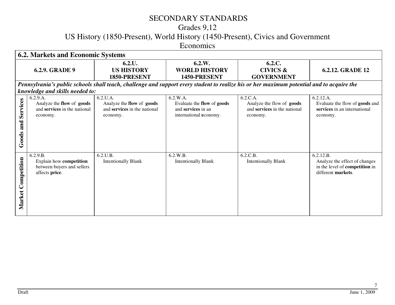## Grades 9,12

US History (1850-Present), World History (1450-Present), Civics and Government

Economics

|                          | <b>6.2. Markets and Economic Systems</b>                                                   |                                                                                   |                                                                                                                                           |                                                                                   |                                                                                                           |  |
|--------------------------|--------------------------------------------------------------------------------------------|-----------------------------------------------------------------------------------|-------------------------------------------------------------------------------------------------------------------------------------------|-----------------------------------------------------------------------------------|-----------------------------------------------------------------------------------------------------------|--|
|                          | <b>6.2.9. GRADE 9</b>                                                                      | 6.2.U.<br><b>US HISTORY</b><br>1850-PRESENT                                       | 6.2.W.<br><b>WORLD HISTORY</b><br>1450-PRESENT                                                                                            | 6.2.C.<br><b>CIVICS &amp;</b><br><b>GOVERNMENT</b>                                | 6.2.12. GRADE 12                                                                                          |  |
|                          |                                                                                            |                                                                                   | Pennsylvania's public schools shall teach, challenge and support every student to realize his or her maximum potential and to acquire the |                                                                                   |                                                                                                           |  |
|                          | knowledge and skills needed to:                                                            |                                                                                   |                                                                                                                                           |                                                                                   |                                                                                                           |  |
| Services<br>and<br>Goods | 6.2.9.A.<br>Analyze the flow of goods<br>and services in the national<br>economy.          | 6.2.U.A.<br>Analyze the flow of goods<br>and services in the national<br>economy. | 6.2.W.A.<br>Evaluate the flow of goods<br>and services in an<br>international economy.                                                    | 6.2.C.A.<br>Analyze the flow of goods<br>and services in the national<br>economy. | 6.2.12.A.<br>Evaluate the flow of goods and<br>services in an international<br>economy.                   |  |
| Market Competition       | 6.2.9.B.<br><b>Explain how competition</b><br>between buyers and sellers<br>affects price. | 6.2.U.B.<br><b>Intentionally Blank</b>                                            | 6.2.W.B.<br><b>Intentionally Blank</b>                                                                                                    | 6.2.C.B.<br><b>Intentionally Blank</b>                                            | 6.2.12.B.<br>Analyze the effect of changes<br>in the level of <b>competition</b> in<br>different markets. |  |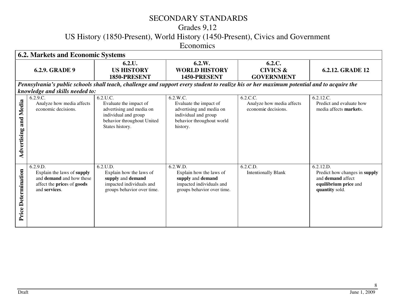## Grades 9,12

US History (1850-Present), World History (1450-Present), Civics and Government

Economics

|                              | <b>6.2. Markets and Economic Systems</b>                                                                                 |                                                                                                                                         |                                                                                                                                           |                                                              |                                                                                                                   |  |
|------------------------------|--------------------------------------------------------------------------------------------------------------------------|-----------------------------------------------------------------------------------------------------------------------------------------|-------------------------------------------------------------------------------------------------------------------------------------------|--------------------------------------------------------------|-------------------------------------------------------------------------------------------------------------------|--|
|                              | <b>6.2.9. GRADE 9</b>                                                                                                    | 6.2.U.<br><b>US HISTORY</b><br>1850-PRESENT                                                                                             | 6.2.W.<br><b>WORLD HISTORY</b><br>1450-PRESENT                                                                                            | 6.2.C.<br><b>CIVICS &amp;</b><br><b>GOVERNMENT</b>           | <b>6.2.12. GRADE 12</b>                                                                                           |  |
|                              |                                                                                                                          |                                                                                                                                         | Pennsylvania's public schools shall teach, challenge and support every student to realize his or her maximum potential and to acquire the |                                                              |                                                                                                                   |  |
| and Media<br>dvertising<br>⋖ | knowledge and skills needed to:<br>6.2.9.C.<br>Analyze how media affects<br>economic decisions.                          | 6.2.U.C.<br>Evaluate the impact of<br>advertising and media on<br>individual and group<br>behavior throughout United<br>States history. | 6.2.W.C.<br>Evaluate the impact of<br>advertising and media on<br>individual and group<br>behavior throughout world<br>history.           | 6.2.C.C.<br>Analyze how media affects<br>economic decisions. | 6.2.12.C.<br>Predict and evaluate how<br>media affects markets.                                                   |  |
| Price Determination          | 6.2.9.D.<br>Explain the laws of supply<br>and <b>demand</b> and how these<br>affect the prices of goods<br>and services. | 6.2.U.D.<br>Explain how the laws of<br>supply and demand<br>impacted individuals and<br>groups behavior over time.                      | 6.2.W.D.<br>Explain how the laws of<br>supply and demand<br>impacted individuals and<br>groups behavior over time.                        | 6.2.C.D.<br><b>Intentionally Blank</b>                       | 6.2.12.D.<br>Predict how changes in supply<br>and <b>demand</b> affect<br>equilibrium price and<br>quantity sold. |  |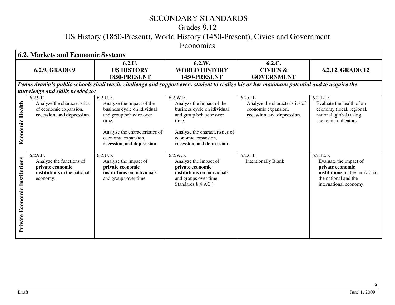## Grades 9,12

US History (1850-Present), World History (1450-Present), Civics and Government

Economics

|                               | <b>6.2. Markets and Economic Systems</b>                                                             |                                                                                                                                                                                                 |                                                                                                                                                                                                 |                                                                                                 |                                                                                                                                              |  |
|-------------------------------|------------------------------------------------------------------------------------------------------|-------------------------------------------------------------------------------------------------------------------------------------------------------------------------------------------------|-------------------------------------------------------------------------------------------------------------------------------------------------------------------------------------------------|-------------------------------------------------------------------------------------------------|----------------------------------------------------------------------------------------------------------------------------------------------|--|
|                               | <b>6.2.9. GRADE 9</b>                                                                                | 6.2.L.<br><b>US HISTORY</b><br>1850-PRESENT                                                                                                                                                     | 6.2.W.<br><b>WORLD HISTORY</b><br>1450-PRESENT                                                                                                                                                  | 6.2.C.<br><b>CIVICS &amp;</b><br><b>GOVERNMENT</b>                                              | <b>6.2.12. GRADE 12</b>                                                                                                                      |  |
|                               |                                                                                                      | Pennsylvania's public schools shall teach, challenge and support every student to realize his or her maximum potential and to acquire the                                                       |                                                                                                                                                                                                 |                                                                                                 |                                                                                                                                              |  |
|                               | knowledge and skills needed to:                                                                      |                                                                                                                                                                                                 |                                                                                                                                                                                                 |                                                                                                 |                                                                                                                                              |  |
| <b>Economic Health</b>        | 6.2.9.E.<br>Analyze the characteristics<br>of economic expansion,<br>recession, and depression.      | 6.2.U.E.<br>Analyze the impact of the<br>business cycle on idividual<br>and group behavior over<br>time.<br>Analyze the characteristics of<br>economic expansion,<br>recession, and depression. | 6.2.W.E.<br>Analyze the impact of the<br>business cycle on idividual<br>and group behavior over<br>time.<br>Analyze the characteristics of<br>economic expansion,<br>recession, and depression. | 6.2.C.E.<br>Analyze the characteristics of<br>economic expansion,<br>recession, and depression. | 6.2.12.E.<br>Evaluate the health of an<br>economy (local, regional,<br>national, global) using<br>economic indicators.                       |  |
| Private Economic Institutions | 6.2.9.F.<br>Analyze the functions of<br>private economic<br>institutions in the national<br>economy. | 6.2.U.F.<br>Analyze the impact of<br>private economic<br>institutions on individuals<br>and groups over time.                                                                                   | 6.2.W.F.<br>Analyze the impact of<br>private economic<br>institutions on individuals<br>and groups over time.<br>Standards 8.4.9.C.)                                                            | 6.2.C.F.<br><b>Intentionally Blank</b>                                                          | 6.2.12.F.<br>Evaluate the impact of<br>private economic<br>institutions on the individual,<br>the national and the<br>international economy. |  |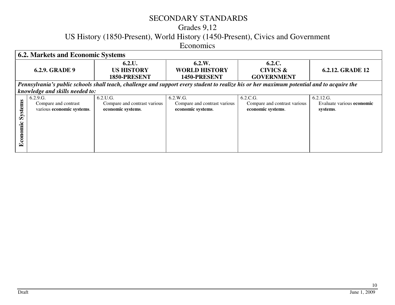#### Grades 9,12

US History (1850-Present), World History (1450-Present), Civics and Government

Economics

| <b>6.2. Markets and Economic Systems</b> |                                 |                                                                                                                                           |                              |                              |                           |  |
|------------------------------------------|---------------------------------|-------------------------------------------------------------------------------------------------------------------------------------------|------------------------------|------------------------------|---------------------------|--|
|                                          |                                 | 6.2.L.                                                                                                                                    | 6.2.W.                       | 6.2.C.                       |                           |  |
|                                          | <b>6.2.9. GRADE 9</b>           | <b>US HISTORY</b>                                                                                                                         | <b>WORLD HISTORY</b>         | <b>CIVICS &amp;</b>          | <b>6.2.12. GRADE 12</b>   |  |
|                                          |                                 | 1850-PRESENT                                                                                                                              | 1450-PRESENT                 | <b>GOVERNMENT</b>            |                           |  |
|                                          |                                 | Pennsylvania's public schools shall teach, challenge and support every student to realize his or her maximum potential and to acquire the |                              |                              |                           |  |
|                                          | knowledge and skills needed to: |                                                                                                                                           |                              |                              |                           |  |
|                                          | 6.2.9.G.                        | 6.2.U.G.                                                                                                                                  | 6.2.W.G.                     | 6.2.C.G.                     | 6.2.12.G.                 |  |
| <b>Systems</b>                           | Compare and contrast            | Compare and contrast various                                                                                                              | Compare and contrast various | Compare and contrast various | Evaluate various economic |  |
|                                          | various economic systems.       | economic systems.                                                                                                                         | economic systems.            | economic systems.            | systems.                  |  |
|                                          |                                 |                                                                                                                                           |                              |                              |                           |  |
|                                          |                                 |                                                                                                                                           |                              |                              |                           |  |
| Economic                                 |                                 |                                                                                                                                           |                              |                              |                           |  |
|                                          |                                 |                                                                                                                                           |                              |                              |                           |  |
|                                          |                                 |                                                                                                                                           |                              |                              |                           |  |
|                                          |                                 |                                                                                                                                           |                              |                              |                           |  |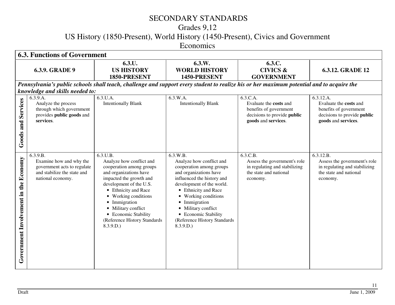## Grades 9,12

US History (1850-Present), World History (1450-Present), Civics and Government

Economics

|                                       | <b>6.3. Functions of Government</b>                                                                                    |                                                                                                                                                                                                                                                                                                              |                                                                                                                                                                                                                                                                                                                                          |                                                                                                                    |                                                                                                                     |  |
|---------------------------------------|------------------------------------------------------------------------------------------------------------------------|--------------------------------------------------------------------------------------------------------------------------------------------------------------------------------------------------------------------------------------------------------------------------------------------------------------|------------------------------------------------------------------------------------------------------------------------------------------------------------------------------------------------------------------------------------------------------------------------------------------------------------------------------------------|--------------------------------------------------------------------------------------------------------------------|---------------------------------------------------------------------------------------------------------------------|--|
|                                       | <b>6.3.9. GRADE 9</b>                                                                                                  | 6.3.U.<br><b>US HISTORY</b><br>1850-PRESENT                                                                                                                                                                                                                                                                  | 6.3.W.<br><b>WORLD HISTORY</b><br>1450-PRESENT                                                                                                                                                                                                                                                                                           | 6.3.C.<br><b>CIVICS &amp;</b><br><b>GOVERNMENT</b>                                                                 | 6.3.12. GRADE 12                                                                                                    |  |
|                                       | knowledge and skills needed to:                                                                                        | Pennsylvania's public schools shall teach, challenge and support every student to realize his or her maximum potential and to acquire the                                                                                                                                                                    |                                                                                                                                                                                                                                                                                                                                          |                                                                                                                    |                                                                                                                     |  |
| Services<br>Goods and                 | 6.3.9.A.<br>Analyze the process<br>through which government<br>provides public goods and<br>services.                  | 6.3.U.A.<br><b>Intentionally Blank</b>                                                                                                                                                                                                                                                                       | 6.3.W.A.<br><b>Intentionally Blank</b>                                                                                                                                                                                                                                                                                                   | 6.3.C.A.<br>Evaluate the costs and<br>benefits of government<br>decisions to provide public<br>goods and services. | 6.3.12.A.<br>Evaluate the costs and<br>benefits of government<br>decisions to provide public<br>goods and services. |  |
| Government Involvement in the Economy | 6.3.9.B.<br>Examine how and why the<br>government acts to regulate<br>and stabilize the state and<br>national economy. | 6.3.U.B.<br>Analyze how conflict and<br>cooperation among groups<br>and organizations have<br>impacted the growth and<br>development of the U.S.<br>• Ethnicity and Race<br>• Working conditions<br>• Immigration<br>• Military conflict<br>• Economic Stability<br>(Reference History Standards<br>8.3.9.D. | 6.3.W.B.<br>Analyze how conflict and<br>cooperation among groups<br>and organizations have<br>influenced the history and<br>development of the world.<br>• Ethnicity and Race<br>Working conditions<br>$\bullet$<br>• Immigration<br>Military conflict<br>$\bullet$<br>• Economic Stability<br>(Reference History Standards<br>8.3.9.D.) | 6.3.C.B.<br>Assess the government's role<br>in regulating and stabilizing<br>the state and national<br>economy.    | 6.3.12.B.<br>Assess the government's role<br>in regulating and stabilizing<br>the state and national<br>economy.    |  |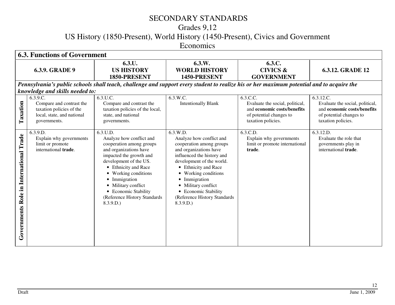## Grades 9,12

US History (1850-Present), World History (1450-Present), Civics and Government

Economics

|                                               | <b>6.3. Functions of Government</b>                                                                                          |                                                                                                                                                                                                                                                                                                             |                                                                                                                                                                                                                                                                                                                                                                      |                                                                                                                             |                                                                                                                              |  |
|-----------------------------------------------|------------------------------------------------------------------------------------------------------------------------------|-------------------------------------------------------------------------------------------------------------------------------------------------------------------------------------------------------------------------------------------------------------------------------------------------------------|----------------------------------------------------------------------------------------------------------------------------------------------------------------------------------------------------------------------------------------------------------------------------------------------------------------------------------------------------------------------|-----------------------------------------------------------------------------------------------------------------------------|------------------------------------------------------------------------------------------------------------------------------|--|
|                                               | <b>6.3.9. GRADE 9</b>                                                                                                        | 6.3.U.<br><b>US HISTORY</b><br>1850-PRESENT                                                                                                                                                                                                                                                                 | 6.3.W.<br><b>WORLD HISTORY</b><br>1450-PRESENT                                                                                                                                                                                                                                                                                                                       | 6.3.C.<br><b>CIVICS &amp;</b><br><b>GOVERNMENT</b>                                                                          | <b>6.3.12. GRADE 12</b>                                                                                                      |  |
|                                               |                                                                                                                              | Pennsylvania's public schools shall teach, challenge and support every student to realize his or her maximum potential and to acquire the                                                                                                                                                                   |                                                                                                                                                                                                                                                                                                                                                                      |                                                                                                                             |                                                                                                                              |  |
|                                               | knowledge and skills needed to:                                                                                              |                                                                                                                                                                                                                                                                                                             |                                                                                                                                                                                                                                                                                                                                                                      |                                                                                                                             |                                                                                                                              |  |
| Taxation                                      | $6.3.9.\overline{C}$ .<br>Compare and contrast the<br>taxation policies of the<br>local, state, and national<br>governments. | 6.3.U.C.<br>Compare and contrast the<br>taxation policies of the local,<br>state, and national<br>governments.                                                                                                                                                                                              | 6.3.W.C.<br><b>Intentionally Blank</b>                                                                                                                                                                                                                                                                                                                               | 6.3.C.C.<br>Evaluate the social, political,<br>and economic costs/benefits<br>of potential changes to<br>taxation policies. | 6.3.12.C.<br>Evaluate the social, political,<br>and economic costs/benefits<br>of potential changes to<br>taxation policies. |  |
| Trade<br>Role in International<br>Governments | 6.3.9.D.<br>Explain why governments<br>limit or promote<br>international trade.                                              | 6.3.U.D.<br>Analyze how conflict and<br>cooperation among groups<br>and organizations have<br>impacted the growth and<br>development of the US.<br>• Ethnicity and Race<br>• Working conditions<br>• Immigration<br>• Military conflict<br>• Economic Stability<br>(Reference History Standards<br>8.3.9.D. | 6.3.W.D.<br>Analyze how conflict and<br>cooperation among groups<br>and organizations have<br>influenced the history and<br>development of the world.<br>• Ethnicity and Race<br>Working conditions<br>$\bullet$<br>Immigration<br>$\bullet$<br>Military conflict<br>$\bullet$<br><b>Economic Stability</b><br>$\bullet$<br>(Reference History Standards<br>8.3.9.D. | 6.3.C.D.<br>Explain why governments<br>limit or promote international<br>trade.                                             | 6.3.12.D.<br>Evaluate the role that<br>governments play in<br>international <b>trade</b> .                                   |  |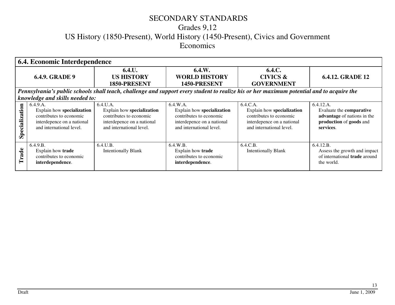#### Grades 9,12 US History (1850-Present), World History (1450-Present), Civics and Government Economics

|                       | 6.4. Economic Interdependence                                                                                               |                                                                                                                             |                                                                                                                             |                                                                                                                                           |                                                                                                              |  |
|-----------------------|-----------------------------------------------------------------------------------------------------------------------------|-----------------------------------------------------------------------------------------------------------------------------|-----------------------------------------------------------------------------------------------------------------------------|-------------------------------------------------------------------------------------------------------------------------------------------|--------------------------------------------------------------------------------------------------------------|--|
| <b>6.4.9. GRADE 9</b> |                                                                                                                             | 6.4.U.<br><b>US HISTORY</b><br>1850-PRESENT                                                                                 | 6.4.W.<br><b>WORLD HISTORY</b><br>1450-PRESENT                                                                              | 6.4.C.<br><b>CIVICS &amp;</b><br><b>GOVERNMENT</b>                                                                                        | <b>6.4.12. GRADE 12</b>                                                                                      |  |
|                       |                                                                                                                             |                                                                                                                             |                                                                                                                             | Pennsylvania's public schools shall teach, challenge and support every student to realize his or her maximum potential and to acquire the |                                                                                                              |  |
|                       | knowledge and skills needed to:                                                                                             |                                                                                                                             |                                                                                                                             |                                                                                                                                           |                                                                                                              |  |
| Specialization        | 6.4.9.A.<br>Explain how specialization<br>contributes to economic<br>interdepence on a national<br>and international level. | 6.4.U.A.<br>Explain how specialization<br>contributes to economic<br>interdepence on a national<br>and international level. | 6.4.W.A.<br>Explain how specialization<br>contributes to economic<br>interdepence on a national<br>and international level. | 6.4.C.A.<br>Explain how specialization<br>contributes to economic<br>interdepence on a national<br>and international level.               | 6.4.12.A.<br>Evaluate the comparative<br>advantage of nations in the<br>production of goods and<br>services. |  |
| Trade                 | 6.4.9.B.<br>Explain how trade<br>contributes to economic<br>interdependence.                                                | $6.4$ , U.B.<br><b>Intentionally Blank</b>                                                                                  | $6.4$ .W.B.<br>Explain how trade<br>contributes to economic<br>interdependence.                                             | 6.4.C.B.<br><b>Intentionally Blank</b>                                                                                                    | 6.4.12.B.<br>Assess the growth and impact<br>of international trade around<br>the world.                     |  |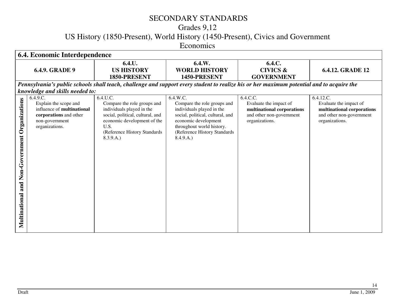## Grades 9,12

US History (1850-Present), World History (1450-Present), Civics and Government

Economics

|                                                   | 6.4. Economic Interdependence                                                                                                 |                                                                                                                                                                                              |                                                                                                                                                                                                            |                                                                                                                |                                                                                                                 |  |
|---------------------------------------------------|-------------------------------------------------------------------------------------------------------------------------------|----------------------------------------------------------------------------------------------------------------------------------------------------------------------------------------------|------------------------------------------------------------------------------------------------------------------------------------------------------------------------------------------------------------|----------------------------------------------------------------------------------------------------------------|-----------------------------------------------------------------------------------------------------------------|--|
|                                                   | <b>6.4.9. GRADE 9</b>                                                                                                         | 6.4.L.<br><b>US HISTORY</b><br>1850-PRESENT                                                                                                                                                  | 6.4.W.<br><b>WORLD HISTORY</b><br>1450-PRESENT                                                                                                                                                             | 6.4.C.<br><b>CIVICS &amp;</b><br><b>GOVERNMENT</b>                                                             | <b>6.4.12. GRADE 12</b>                                                                                         |  |
|                                                   |                                                                                                                               | Pennsylvania's public schools shall teach, challenge and support every student to realize his or her maximum potential and to acquire the                                                    |                                                                                                                                                                                                            |                                                                                                                |                                                                                                                 |  |
|                                                   | knowledge and skills needed to:                                                                                               |                                                                                                                                                                                              |                                                                                                                                                                                                            |                                                                                                                |                                                                                                                 |  |
| and Non-Government Organizations<br>Multinational | 6.4.9.C.<br>Explain the scope and<br>influence of multinational<br>corporations and other<br>non-government<br>organizations. | 6.4.U.C.<br>Compare the role groups and<br>individuals played in the<br>social, political, cultural, and<br>economic development of the<br>U.S.<br>(Reference History Standards<br>8.3.9.A.) | 6.4.W.C.<br>Compare the role groups and<br>individuals played in the<br>social, political, cultural, and<br>economic development<br>throughout world history.<br>(Reference History Standards<br>8.4.9.A.) | 6.4.C.C.<br>Evaluate the impact of<br>multinational corporations<br>and other non-government<br>organizations. | 6.4.12.C.<br>Evaluate the impact of<br>multinational corporations<br>and other non-government<br>organizations. |  |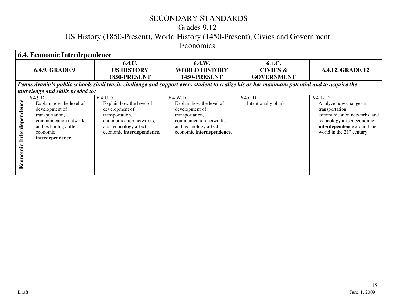## Grades 9,12

US History (1850-Present), World History (1450-Present), Civics and Government

Economics

| 6.4. Economic Interdependence |                                                                                                                                                               |                                                                                                                                                            |                                                                                                                                                            |                                                    |                                                                                                                                                                                   |
|-------------------------------|---------------------------------------------------------------------------------------------------------------------------------------------------------------|------------------------------------------------------------------------------------------------------------------------------------------------------------|------------------------------------------------------------------------------------------------------------------------------------------------------------|----------------------------------------------------|-----------------------------------------------------------------------------------------------------------------------------------------------------------------------------------|
|                               | <b>6.4.9. GRADE 9</b>                                                                                                                                         | 6.4.L.<br><b>US HISTORY</b><br>1850-PRESENT                                                                                                                | 6.4.W.<br><b>WORLD HISTORY</b><br>1450-PRESENT                                                                                                             | 6.4.C.<br><b>CIVICS &amp;</b><br><b>GOVERNMENT</b> | <b>6.4.12. GRADE 12</b>                                                                                                                                                           |
|                               |                                                                                                                                                               |                                                                                                                                                            | Pennsylvania's public schools shall teach, challenge and support every student to realize his or her maximum potential and to acquire the                  |                                                    |                                                                                                                                                                                   |
|                               | knowledge and skills needed to:                                                                                                                               |                                                                                                                                                            |                                                                                                                                                            |                                                    |                                                                                                                                                                                   |
| Interdependence<br>Economic   | 6.4.9.D.<br>Explain how the level of<br>development of<br>transportation,<br>communication networks,<br>and technology affect<br>economic<br>interdependence. | 6.4.U.D.<br>Explain how the level of<br>development of<br>transportation,<br>communication networks,<br>and technology affect<br>economic interdependence. | 6.4.W.D.<br>Explain how the level of<br>development of<br>transportation,<br>communication networks,<br>and technology affect<br>economic interdependence. | 6.4.C.D.<br>Intentionally blank                    | 6.4.12.D.<br>Analyze how changes in<br>transportation,<br>communication networks, and<br>technology affect economic<br>interdependence around the<br>world in the $21st$ century. |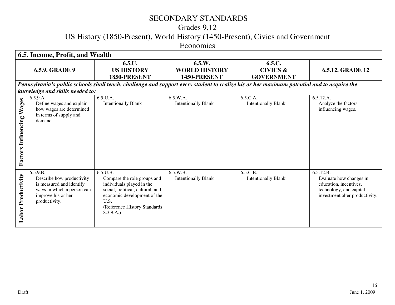## Grades 9,12

US History (1850-Present), World History (1450-Present), Civics and Government

Economics

| 6.5. Income, Profit, and Wealth  |                                                                                                                                        |                                                                                                                                                                                              |                                                |                                                    |                                                                                                                             |
|----------------------------------|----------------------------------------------------------------------------------------------------------------------------------------|----------------------------------------------------------------------------------------------------------------------------------------------------------------------------------------------|------------------------------------------------|----------------------------------------------------|-----------------------------------------------------------------------------------------------------------------------------|
|                                  | <b>6.5.9. GRADE 9</b>                                                                                                                  | 6.5.L.<br><b>US HISTORY</b><br>1850-PRESENT                                                                                                                                                  | 6.5.W.<br><b>WORLD HISTORY</b><br>1450-PRESENT | 6.5.C.<br><b>CIVICS &amp;</b><br><b>GOVERNMENT</b> | <b>6.5.12. GRADE 12</b>                                                                                                     |
|                                  |                                                                                                                                        | Pennsylvania's public schools shall teach, challenge and support every student to realize his or her maximum potential and to acquire the                                                    |                                                |                                                    |                                                                                                                             |
|                                  | knowledge and skills needed to:                                                                                                        |                                                                                                                                                                                              |                                                |                                                    |                                                                                                                             |
| <b>Factors Influencing Wages</b> | 6.5.9.A.<br>Define wages and explain<br>how wages are determined<br>in terms of supply and<br>demand.                                  | 6.5.U.A.<br><b>Intentionally Blank</b>                                                                                                                                                       | 6.5.W.A.<br><b>Intentionally Blank</b>         | 6.5.C.A.<br><b>Intentionally Blank</b>             | 6.5.12.A.<br>Analyze the factors<br>influencing wages.                                                                      |
| <b>Labor Productivity</b>        | 6.5.9.B.<br>Describe how productivity<br>is measured and identify<br>ways in which a person can<br>improve his or her<br>productivity. | 6.5.U.B.<br>Compare the role groups and<br>individuals played in the<br>social, political, cultural, and<br>economic development of the<br>U.S.<br>(Reference History Standards<br>8.3.9.A.) | 6.5.W.B.<br><b>Intentionally Blank</b>         | 6.5.C.B.<br><b>Intentionally Blank</b>             | 6.5.12.B.<br>Evaluate how changes in<br>education, incentives,<br>technology, and capital<br>investment alter productivity. |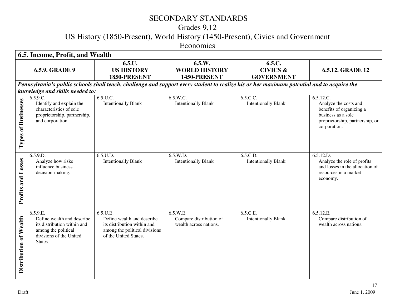## Grades 9,12

US History (1850-Present), World History (1450-Present), Civics and Government

Economics

| 6.5. Income, Profit, and Wealth |                                                                                                                                    |                                                                                                                                           |                                                               |                                                    |                                                                                                                                         |
|---------------------------------|------------------------------------------------------------------------------------------------------------------------------------|-------------------------------------------------------------------------------------------------------------------------------------------|---------------------------------------------------------------|----------------------------------------------------|-----------------------------------------------------------------------------------------------------------------------------------------|
| <b>6.5.9. GRADE 9</b>           |                                                                                                                                    | 6.5.L.<br><b>US HISTORY</b><br>1850-PRESENT                                                                                               | 6.5.W.<br><b>WORLD HISTORY</b><br>1450-PRESENT                | 6.5.C.<br><b>CIVICS &amp;</b><br><b>GOVERNMENT</b> | 6.5.12. GRADE 12                                                                                                                        |
|                                 | knowledge and skills needed to:                                                                                                    | Pennsylvania's public schools shall teach, challenge and support every student to realize his or her maximum potential and to acquire the |                                                               |                                                    |                                                                                                                                         |
| Types of Businesses             | $6.5.9.\overline{C}$ .<br>Identify and explain the<br>characteristics of sole<br>proprietorship, partnership,<br>and corporation.  | 6.5.U.C.<br><b>Intentionally Blank</b>                                                                                                    | 6.5.W.C.<br><b>Intentionally Blank</b>                        | 6.5.C.C.<br><b>Intentionally Blank</b>             | 6.5.12.C.<br>Analyze the costs and<br>benefits of organizing a<br>business as a sole<br>proprietorship, partnership, or<br>corporation. |
| Losses<br>Profits and           | 6.5.9.D.<br>Analyze how risks<br>influence business<br>decision-making.                                                            | 6.5.U.D.<br><b>Intentionally Blank</b>                                                                                                    | 6.5.W.D.<br><b>Intentionally Blank</b>                        | 6.5.C.D.<br><b>Intentionally Blank</b>             | 6.5.12.D.<br>Analyze the role of profits<br>and losses in the allocation of<br>resources in a market<br>economy.                        |
| Distribution of Wealth          | 6.5.9.E.<br>Define wealth and describe<br>its distribution within and<br>among the political<br>divisions of the United<br>States. | 6.5.U.E.<br>Define wealth and describe<br>its distribution within and<br>among the political divisions<br>of the United States.           | 6.5.W.E.<br>Compare distribution of<br>wealth across nations. | 6.5.C.E.<br><b>Intentionally Blank</b>             | 6.5.12.E.<br>Compare distribution of<br>wealth across nations.                                                                          |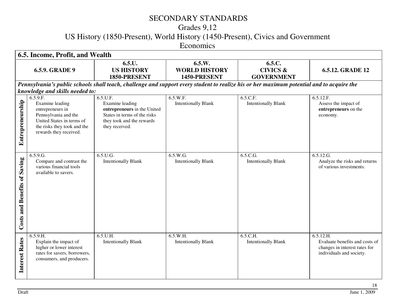## Grades 9,12

US History (1850-Present), World History (1450-Present), Civics and Government

Economics

| 6.5. Income, Profit, and Wealth        |                                                                                                                                                                            |                                                                                                                                           |                                                |                                                                                                                                           |                                                                                                          |
|----------------------------------------|----------------------------------------------------------------------------------------------------------------------------------------------------------------------------|-------------------------------------------------------------------------------------------------------------------------------------------|------------------------------------------------|-------------------------------------------------------------------------------------------------------------------------------------------|----------------------------------------------------------------------------------------------------------|
| <b>6.5.9. GRADE 9</b>                  |                                                                                                                                                                            | 6.5.L.<br><b>US HISTORY</b><br>1850-PRESENT                                                                                               | 6.5.W.<br><b>WORLD HISTORY</b><br>1450-PRESENT | 6.5.C.<br><b>CIVICS &amp;</b><br><b>GOVERNMENT</b>                                                                                        | <b>6.5.12. GRADE 12</b>                                                                                  |
|                                        | knowledge and skills needed to:                                                                                                                                            |                                                                                                                                           |                                                | Pennsylvania's public schools shall teach, challenge and support every student to realize his or her maximum potential and to acquire the |                                                                                                          |
| Entrepreneurship                       | $6.5.\overline{9.F.}$<br>Examine leading<br>entrepreneurs in<br>Pennsylvania and the<br>United States in terms of<br>the risks they took and the<br>rewards they received. | 6.5.U.F.<br>Examine leading<br>entrepreneurs in the United<br>States in terms of the risks<br>they took and the rewards<br>they received. | 6.5.W.F.<br><b>Intentionally Blank</b>         | 6.5.C.F.<br><b>Intentionally Blank</b>                                                                                                    | 6.5.12.F.<br>Assess the impact of<br>entrepreneurs on the<br>economy.                                    |
| Saving<br><b>Costs and Benefits of</b> | 6.5.9.G.<br>Compare and contrast the<br>various financial tools<br>available to savers.                                                                                    | 6.5.U.G.<br><b>Intentionally Blank</b>                                                                                                    | 6.5.W.G.<br><b>Intentionally Blank</b>         | 6.5.C.G.<br><b>Intentionally Blank</b>                                                                                                    | 6.5.12.G.<br>Analyze the risks and returns<br>of various investments.                                    |
| <b>Interest Rates</b>                  | 6.5.9.H.<br>Explain the impact of<br>higher or lower interest<br>rates for savers, borrowers,<br>consumers, and producers.                                                 | 6.5.U.H.<br><b>Intentionally Blank</b>                                                                                                    | 6.5.W.H.<br><b>Intentionally Blank</b>         | 6.5.C.H.<br><b>Intentionally Blank</b>                                                                                                    | 6.5.12.H.<br>Evaluate benefits and costs of<br>changes in interest rates for<br>individuals and society. |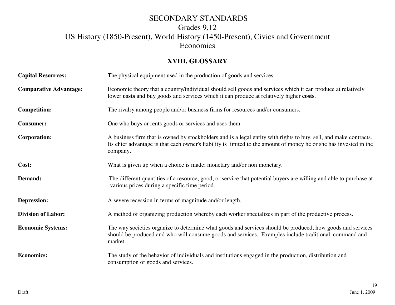#### **XVIII. GLOSSARY**

| <b>Capital Resources:</b>     | The physical equipment used in the production of goods and services.                                                                                                                                                                                |  |  |
|-------------------------------|-----------------------------------------------------------------------------------------------------------------------------------------------------------------------------------------------------------------------------------------------------|--|--|
| <b>Comparative Advantage:</b> | Economic theory that a country/individual should sell goods and services which it can produce at relatively<br>lower costs and buy goods and services which it can produce at relatively higher costs.                                              |  |  |
| <b>Competition:</b>           | The rivalry among people and/or business firms for resources and/or consumers.                                                                                                                                                                      |  |  |
| <b>Consumer:</b>              | One who buys or rents goods or services and uses them.                                                                                                                                                                                              |  |  |
| Corporation:                  | A business firm that is owned by stockholders and is a legal entity with rights to buy, sell, and make contracts.<br>Its chief advantage is that each owner's liability is limited to the amount of money he or she has invested in the<br>company. |  |  |
| Cost:                         | What is given up when a choice is made; monetary and/or non monetary.                                                                                                                                                                               |  |  |
| Demand:                       | The different quantities of a resource, good, or service that potential buyers are willing and able to purchase at<br>various prices during a specific time period.                                                                                 |  |  |
| <b>Depression:</b>            | A severe recession in terms of magnitude and/or length.                                                                                                                                                                                             |  |  |
| <b>Division of Labor:</b>     | A method of organizing production whereby each worker specializes in part of the productive process.                                                                                                                                                |  |  |
| <b>Economic Systems:</b>      | The way societies organize to determine what goods and services should be produced, how goods and services<br>should be produced and who will consume goods and services. Examples include traditional, command and<br>market.                      |  |  |
| <b>Economics:</b>             | The study of the behavior of individuals and institutions engaged in the production, distribution and<br>consumption of goods and services.                                                                                                         |  |  |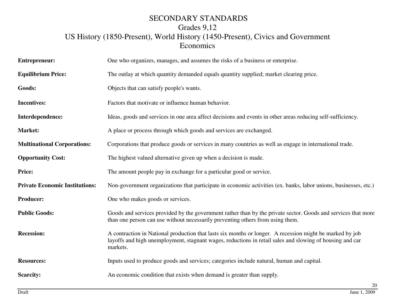| <b>Entrepreneur:</b>                  | One who organizes, manages, and assumes the risks of a business or enterprise.                                                                                                                                                   |  |  |
|---------------------------------------|----------------------------------------------------------------------------------------------------------------------------------------------------------------------------------------------------------------------------------|--|--|
| <b>Equilibrium Price:</b>             | The outlay at which quantity demanded equals quantity supplied; market clearing price.                                                                                                                                           |  |  |
| Goods:                                | Objects that can satisfy people's wants.                                                                                                                                                                                         |  |  |
| <b>Incentives:</b>                    | Factors that motivate or influence human behavior.                                                                                                                                                                               |  |  |
| Interdependence:                      | Ideas, goods and services in one area affect decisions and events in other areas reducing self-sufficiency.                                                                                                                      |  |  |
| <b>Market:</b>                        | A place or process through which goods and services are exchanged.                                                                                                                                                               |  |  |
| <b>Multinational Corporations:</b>    | Corporations that produce goods or services in many countries as well as engage in international trade.                                                                                                                          |  |  |
| <b>Opportunity Cost:</b>              | The highest valued alternative given up when a decision is made.                                                                                                                                                                 |  |  |
| Price:                                | The amount people pay in exchange for a particular good or service.                                                                                                                                                              |  |  |
| <b>Private Economic Institutions:</b> | Non-government organizations that participate in economic activities (ex. banks, labor unions, businesses, etc.)                                                                                                                 |  |  |
| <b>Producer:</b>                      | One who makes goods or services.                                                                                                                                                                                                 |  |  |
| <b>Public Goods:</b>                  | Goods and services provided by the government rather than by the private sector. Goods and services that more<br>than one person can use without necessarily preventing others from using them.                                  |  |  |
| <b>Recession:</b>                     | A contraction in National production that lasts six months or longer. A recession might be marked by job<br>layoffs and high unemployment, stagnant wages, reductions in retail sales and slowing of housing and car<br>markets. |  |  |
| <b>Resources:</b>                     | Inputs used to produce goods and services; categories include natural, human and capital.                                                                                                                                        |  |  |
| <b>Scarcity:</b>                      | An economic condition that exists when demand is greater than supply.                                                                                                                                                            |  |  |